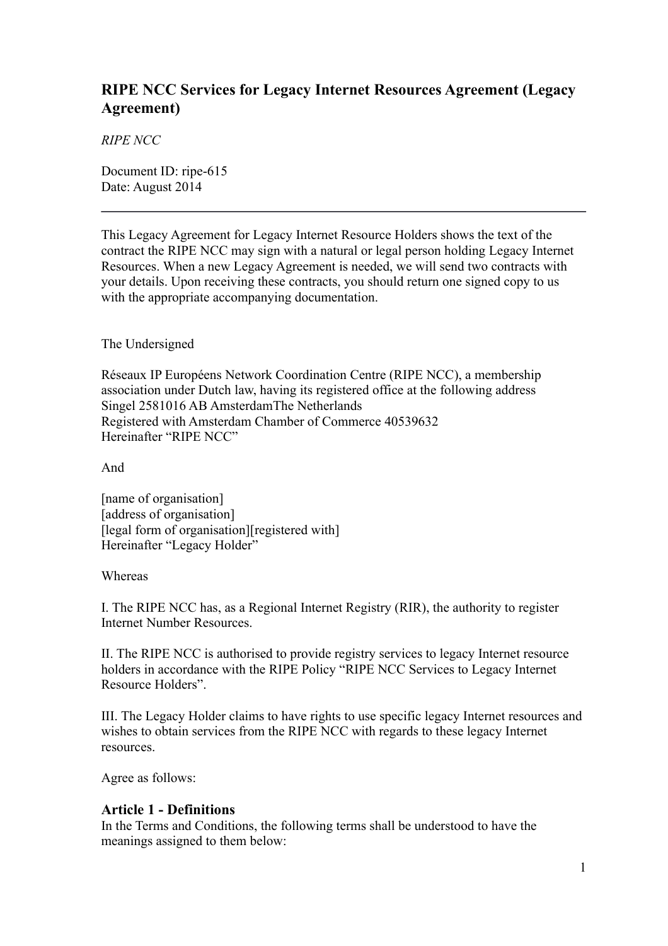# **RIPE NCC Services for Legacy Internet Resources Agreement (Legacy Agreement)**

*RIPE NCC*

Document ID: ripe-615 Date: August 2014

This Legacy Agreement for Legacy Internet Resource Holders shows the text of the contract the RIPE NCC may sign with a natural or legal person holding Legacy Internet Resources. When a new Legacy Agreement is needed, we will send two contracts with your details. Upon receiving these contracts, you should return one signed copy to us with the appropriate accompanying documentation.

#### The Undersigned

Réseaux IP Européens Network Coordination Centre (RIPE NCC), a membership association under Dutch law, having its registered office at the following address Singel 2581016 AB AmsterdamThe Netherlands Registered with Amsterdam Chamber of Commerce 40539632 Hereinafter "RIPE NCC"

And

[name of organisation] [address of organisation] [legal form of organisation][registered with] Hereinafter "Legacy Holder"

#### Whereas

I. The RIPE NCC has, as a Regional Internet Registry (RIR), the authority to register Internet Number Resources.

II. The RIPE NCC is authorised to provide registry services to legacy Internet resource holders in accordance with the RIPE Policy "RIPE NCC Services to Legacy Internet Resource Holders".

III. The Legacy Holder claims to have rights to use specific legacy Internet resources and wishes to obtain services from the RIPE NCC with regards to these legacy Internet resources.

Agree as follows:

## **Article 1 - Definitions**

In the Terms and Conditions, the following terms shall be understood to have the meanings assigned to them below: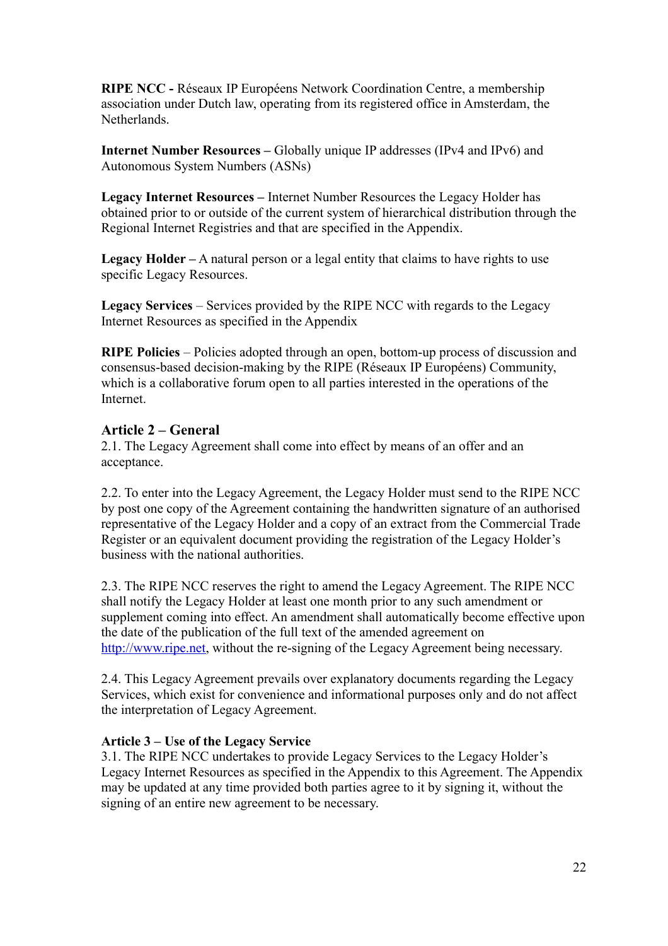**RIPE NCC -** Réseaux IP Européens Network Coordination Centre, a membership association under Dutch law, operating from its registered office in Amsterdam, the **Netherlands** 

**Internet Number Resources –** Globally unique IP addresses (IPv4 and IPv6) and Autonomous System Numbers (ASNs)

**Legacy Internet Resources –** Internet Number Resources the Legacy Holder has obtained prior to or outside of the current system of hierarchical distribution through the Regional Internet Registries and that are specified in the Appendix.

Legacy Holder – A natural person or a legal entity that claims to have rights to use specific Legacy Resources.

**Legacy Services** – Services provided by the RIPE NCC with regards to the Legacy Internet Resources as specified in the Appendix

**RIPE Policies** – Policies adopted through an open, bottom-up process of discussion and consensus-based decision-making by the RIPE (Réseaux IP Européens) Community, which is a collaborative forum open to all parties interested in the operations of the Internet.

## **Article 2 – General**

2.1. The Legacy Agreement shall come into effect by means of an offer and an acceptance.

2.2. To enter into the Legacy Agreement, the Legacy Holder must send to the RIPE NCC by post one copy of the Agreement containing the handwritten signature of an authorised representative of the Legacy Holder and a copy of an extract from the Commercial Trade Register or an equivalent document providing the registration of the Legacy Holder's business with the national authorities.

2.3. The RIPE NCC reserves the right to amend the Legacy Agreement. The RIPE NCC shall notify the Legacy Holder at least one month prior to any such amendment or supplement coming into effect. An amendment shall automatically become effective upon the date of the publication of the full text of the amended agreement on [http://www.ripe.net,](http://www.ripe.net/) without the re-signing of the Legacy Agreement being necessary.

2.4. This Legacy Agreement prevails over explanatory documents regarding the Legacy Services, which exist for convenience and informational purposes only and do not affect the interpretation of Legacy Agreement.

#### **Article 3 – Use of the Legacy Service**

3.1. The RIPE NCC undertakes to provide Legacy Services to the Legacy Holder's Legacy Internet Resources as specified in the Appendix to this Agreement. The Appendix may be updated at any time provided both parties agree to it by signing it, without the signing of an entire new agreement to be necessary.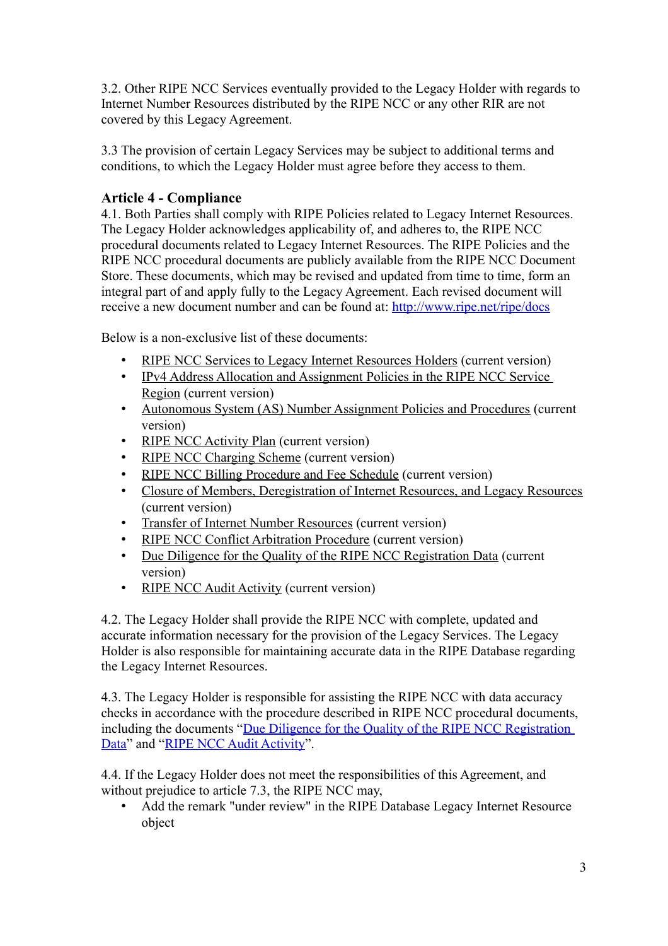3.2. Other RIPE NCC Services eventually provided to the Legacy Holder with regards to Internet Number Resources distributed by the RIPE NCC or any other RIR are not covered by this Legacy Agreement.

3.3 The provision of certain Legacy Services may be subject to additional terms and conditions, to which the Legacy Holder must agree before they access to them.

# **Article 4 - Compliance**

4.1. Both Parties shall comply with RIPE Policies related to Legacy Internet Resources. The Legacy Holder acknowledges applicability of, and adheres to, the RIPE NCC procedural documents related to Legacy Internet Resources. The RIPE Policies and the RIPE NCC procedural documents are publicly available from the RIPE NCC Document Store. These documents, which may be revised and updated from time to time, form an integral part of and apply fully to the Legacy Agreement. Each revised document will receive a new document number and can be found at:<http://www.ripe.net/ripe/docs>

Below is a non-exclusive list of these documents:

- [RIPE NCC Services to Legacy Internet Resources Holders](https://www.ripe.net/ripe/docs/ripe-605) (current version)
- [IPv4 Address Allocation and Assignment Policies in the RIPE NCC Service](http://www.ripe.net/ripe/docs/ipv4-policies)  [Region](http://www.ripe.net/ripe/docs/ipv4-policies) (current version)
- [Autonomous System \(AS\) Number Assignment Policies and Procedures](http://www.ripe.net/ripe/docs/asn-assignment) (current version)
- [RIPE NCC Activity Plan](http://www.ripe.net/ripe/docs/ap) (current version)
- [RIPE NCC Charging Scheme](http://www.ripe.net/ripe/docs/charging) (current version)
- [RIPE NCC Billing Procedure and Fee Schedule](http://www.ripe.net/lir-services/billing/procedure) (current version)
- [Closure of Members, Deregistration of Internet Resources, and Legacy Resources](https://www.ripe.net/ripe/docs/closure) (current version)
- [Transfer of Internet Number Resources](http://www.ripe.net/ripe/docs/transfer) (current version)
- [RIPE NCC Conflict Arbitration Procedure](http://www.ripe.net/ripe/docs/arbitration) (current version)
- [Due Diligence for the Quality of the RIPE NCC Registration Data](https://www.ripe.net/ripe/docs/due-diligence) (current version)
- [RIPE NCC Audit Activity](https://www.ripe.net/ripe/docs/audit) (current version)

4.2. The Legacy Holder shall provide the RIPE NCC with complete, updated and accurate information necessary for the provision of the Legacy Services. The Legacy Holder is also responsible for maintaining accurate data in the RIPE Database regarding the Legacy Internet Resources.

4.3. The Legacy Holder is responsible for assisting the RIPE NCC with data accuracy checks in accordance with the procedure described in RIPE NCC procedural documents, including the documents "Due Diligence for the Quality of the RIPE NCC Registration [Data"](https://www.ripe.net/ripe/docs/due-diligence) and ["RIPE NCC Audit Activity"](https://www.ripe.net/ripe/docs/audit).

4.4. If the Legacy Holder does not meet the responsibilities of this Agreement, and without prejudice to article 7.3, the RIPE NCC may,

• Add the remark "under review" in the RIPE Database Legacy Internet Resource object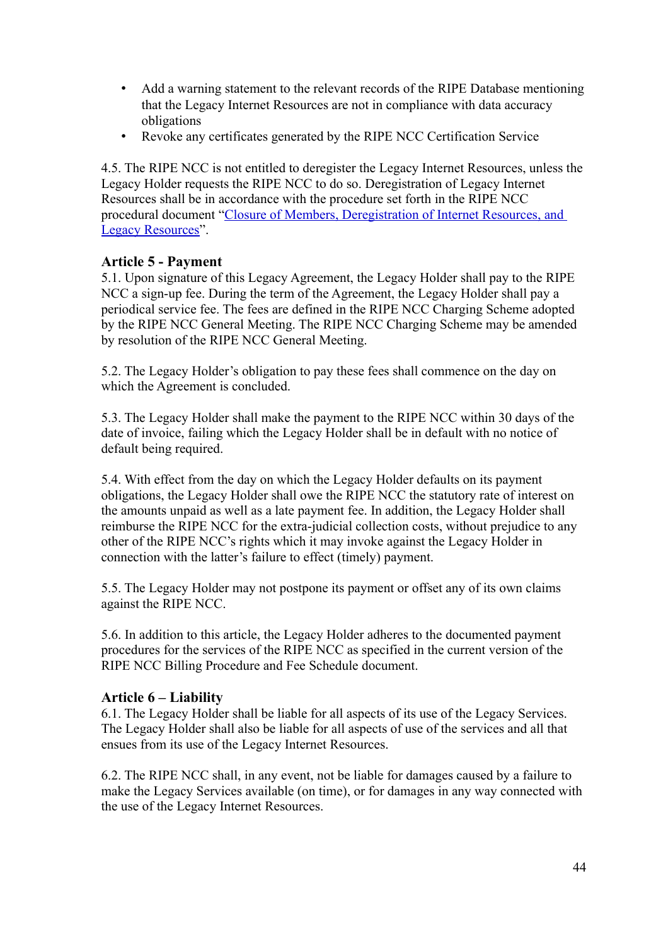- Add a warning statement to the relevant records of the RIPE Database mentioning that the Legacy Internet Resources are not in compliance with data accuracy obligations
- Revoke any certificates generated by the RIPE NCC Certification Service

4.5. The RIPE NCC is not entitled to deregister the Legacy Internet Resources, unless the Legacy Holder requests the RIPE NCC to do so. Deregistration of Legacy Internet Resources shall be in accordance with the procedure set forth in the RIPE NCC procedural document ["Closure of Members, Deregistration of Internet Resources, and](https://www.ripe.net/docs/ripe/closure)  [Legacy Resources"](https://www.ripe.net/docs/ripe/closure).

## **Article 5 - Payment**

5.1. Upon signature of this Legacy Agreement, the Legacy Holder shall pay to the RIPE NCC a sign-up fee. During the term of the Agreement, the Legacy Holder shall pay a periodical service fee. The fees are defined in the RIPE NCC Charging Scheme adopted by the RIPE NCC General Meeting. The RIPE NCC Charging Scheme may be amended by resolution of the RIPE NCC General Meeting.

5.2. The Legacy Holder's obligation to pay these fees shall commence on the day on which the Agreement is concluded.

5.3. The Legacy Holder shall make the payment to the RIPE NCC within 30 days of the date of invoice, failing which the Legacy Holder shall be in default with no notice of default being required.

5.4. With effect from the day on which the Legacy Holder defaults on its payment obligations, the Legacy Holder shall owe the RIPE NCC the statutory rate of interest on the amounts unpaid as well as a late payment fee. In addition, the Legacy Holder shall reimburse the RIPE NCC for the extra-judicial collection costs, without prejudice to any other of the RIPE NCC's rights which it may invoke against the Legacy Holder in connection with the latter's failure to effect (timely) payment.

5.5. The Legacy Holder may not postpone its payment or offset any of its own claims against the RIPE NCC.

5.6. In addition to this article, the Legacy Holder adheres to the documented payment procedures for the services of the RIPE NCC as specified in the current version of the RIPE NCC Billing Procedure and Fee Schedule document.

## **Article 6 – Liability**

6.1. The Legacy Holder shall be liable for all aspects of its use of the Legacy Services. The Legacy Holder shall also be liable for all aspects of use of the services and all that ensues from its use of the Legacy Internet Resources.

6.2. The RIPE NCC shall, in any event, not be liable for damages caused by a failure to make the Legacy Services available (on time), or for damages in any way connected with the use of the Legacy Internet Resources.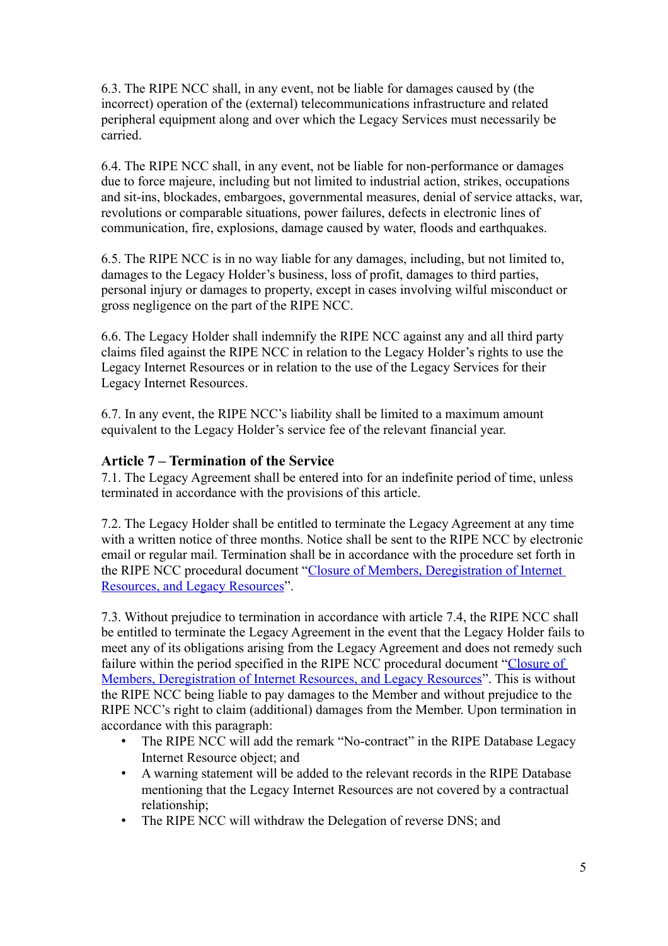6.3. The RIPE NCC shall, in any event, not be liable for damages caused by (the incorrect) operation of the (external) telecommunications infrastructure and related peripheral equipment along and over which the Legacy Services must necessarily be carried.

6.4. The RIPE NCC shall, in any event, not be liable for non-performance or damages due to force majeure, including but not limited to industrial action, strikes, occupations and sit-ins, blockades, embargoes, governmental measures, denial of service attacks, war, revolutions or comparable situations, power failures, defects in electronic lines of communication, fire, explosions, damage caused by water, floods and earthquakes.

6.5. The RIPE NCC is in no way liable for any damages, including, but not limited to, damages to the Legacy Holder's business, loss of profit, damages to third parties, personal injury or damages to property, except in cases involving wilful misconduct or gross negligence on the part of the RIPE NCC.

6.6. The Legacy Holder shall indemnify the RIPE NCC against any and all third party claims filed against the RIPE NCC in relation to the Legacy Holder's rights to use the Legacy Internet Resources or in relation to the use of the Legacy Services for their Legacy Internet Resources.

6.7. In any event, the RIPE NCC's liability shall be limited to a maximum amount equivalent to the Legacy Holder's service fee of the relevant financial year.

# **Article 7 – Termination of the Service**

7.1. The Legacy Agreement shall be entered into for an indefinite period of time, unless terminated in accordance with the provisions of this article.

7.2. The Legacy Holder shall be entitled to terminate the Legacy Agreement at any time with a written notice of three months. Notice shall be sent to the RIPE NCC by electronic email or regular mail. Termination shall be in accordance with the procedure set forth in the RIPE NCC procedural document ["Closure of Members, Deregistration of Internet](https://www.ripe.net/ripe/docs/closure)  [Resources, and Legacy Resources"](https://www.ripe.net/ripe/docs/closure).

7.3. Without prejudice to termination in accordance with article 7.4, the RIPE NCC shall be entitled to terminate the Legacy Agreement in the event that the Legacy Holder fails to meet any of its obligations arising from the Legacy Agreement and does not remedy such failure within the period specified in the RIPE NCC procedural document ["Closure of](https://www.ripe.net/ripe/docs/closure)  [Members, Deregistration of Internet Resources, and Legacy Resources"](https://www.ripe.net/ripe/docs/closure). This is without the RIPE NCC being liable to pay damages to the Member and without prejudice to the RIPE NCC's right to claim (additional) damages from the Member. Upon termination in accordance with this paragraph:

- The RIPE NCC will add the remark "No-contract" in the RIPE Database Legacy Internet Resource object; and
- A warning statement will be added to the relevant records in the RIPE Database mentioning that the Legacy Internet Resources are not covered by a contractual relationship;
- The RIPE NCC will withdraw the Delegation of reverse DNS; and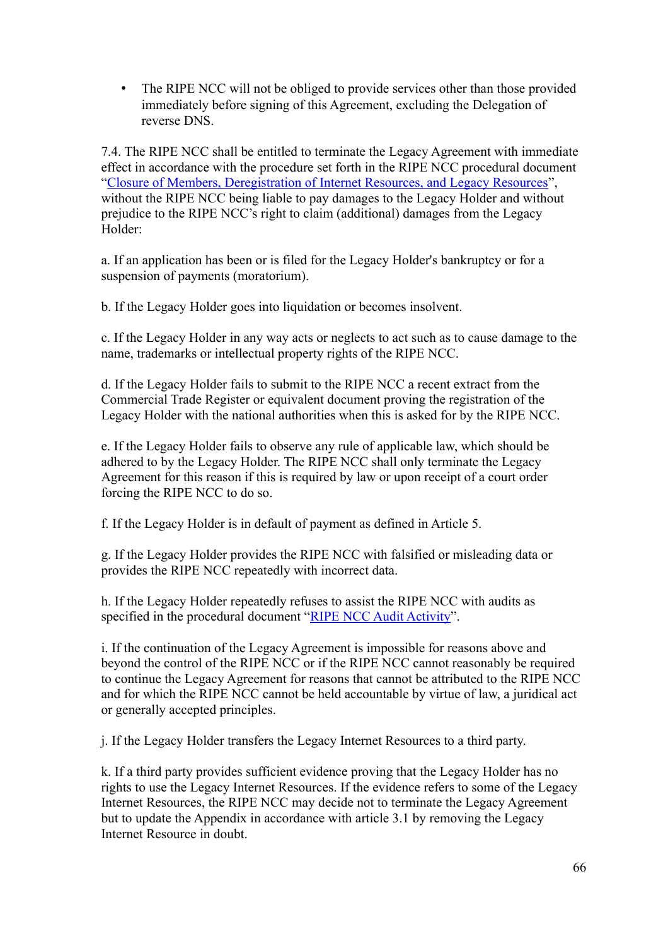• The RIPE NCC will not be obliged to provide services other than those provided immediately before signing of this Agreement, excluding the Delegation of reverse DNS.

7.4. The RIPE NCC shall be entitled to terminate the Legacy Agreement with immediate effect in accordance with the procedure set forth in the RIPE NCC procedural document ["Closure of Members, Deregistration of Internet Resources, and Legacy Resources"](https://www.ripe.net/ripe/docs/closure), without the RIPE NCC being liable to pay damages to the Legacy Holder and without prejudice to the RIPE NCC's right to claim (additional) damages from the Legacy Holder:

a. If an application has been or is filed for the Legacy Holder's bankruptcy or for a suspension of payments (moratorium).

b. If the Legacy Holder goes into liquidation or becomes insolvent.

c. If the Legacy Holder in any way acts or neglects to act such as to cause damage to the name, trademarks or intellectual property rights of the RIPE NCC.

d. If the Legacy Holder fails to submit to the RIPE NCC a recent extract from the Commercial Trade Register or equivalent document proving the registration of the Legacy Holder with the national authorities when this is asked for by the RIPE NCC.

e. If the Legacy Holder fails to observe any rule of applicable law, which should be adhered to by the Legacy Holder. The RIPE NCC shall only terminate the Legacy Agreement for this reason if this is required by law or upon receipt of a court order forcing the RIPE NCC to do so.

f. If the Legacy Holder is in default of payment as defined in Article 5.

g. If the Legacy Holder provides the RIPE NCC with falsified or misleading data or provides the RIPE NCC repeatedly with incorrect data.

h. If the Legacy Holder repeatedly refuses to assist the RIPE NCC with audits as specified in the procedural document ["RIPE NCC Audit Activity"](https://www.ripe.net/ripe/docs/audit).

i. If the continuation of the Legacy Agreement is impossible for reasons above and beyond the control of the RIPE NCC or if the RIPE NCC cannot reasonably be required to continue the Legacy Agreement for reasons that cannot be attributed to the RIPE NCC and for which the RIPE NCC cannot be held accountable by virtue of law, a juridical act or generally accepted principles.

j. If the Legacy Holder transfers the Legacy Internet Resources to a third party.

k. If a third party provides sufficient evidence proving that the Legacy Holder has no rights to use the Legacy Internet Resources. If the evidence refers to some of the Legacy Internet Resources, the RIPE NCC may decide not to terminate the Legacy Agreement but to update the Appendix in accordance with article 3.1 by removing the Legacy Internet Resource in doubt.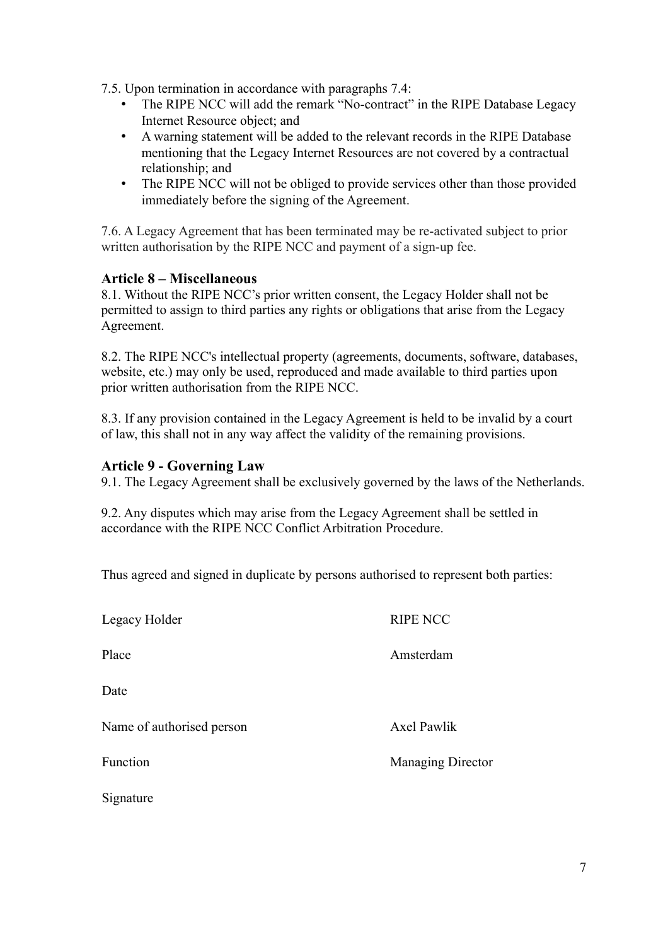- 7.5. Upon termination in accordance with paragraphs 7.4:
	- The RIPE NCC will add the remark "No-contract" in the RIPE Database Legacy Internet Resource object; and
	- A warning statement will be added to the relevant records in the RIPE Database mentioning that the Legacy Internet Resources are not covered by a contractual relationship; and
	- The RIPE NCC will not be obliged to provide services other than those provided immediately before the signing of the Agreement.

7.6. A Legacy Agreement that has been terminated may be re-activated subject to prior written authorisation by the RIPE NCC and payment of a sign-up fee.

## **Article 8 – Miscellaneous**

8.1. Without the RIPE NCC's prior written consent, the Legacy Holder shall not be permitted to assign to third parties any rights or obligations that arise from the Legacy Agreement.

8.2. The RIPE NCC's intellectual property (agreements, documents, software, databases, website, etc.) may only be used, reproduced and made available to third parties upon prior written authorisation from the RIPE NCC.

8.3. If any provision contained in the Legacy Agreement is held to be invalid by a court of law, this shall not in any way affect the validity of the remaining provisions.

#### **Article 9 - Governing Law**

9.1. The Legacy Agreement shall be exclusively governed by the laws of the Netherlands.

9.2. Any disputes which may arise from the Legacy Agreement shall be settled in accordance with the RIPE NCC Conflict Arbitration Procedure.

Thus agreed and signed in duplicate by persons authorised to represent both parties:

| Legacy Holder             | <b>RIPE NCC</b>          |
|---------------------------|--------------------------|
| Place                     | Amsterdam                |
| Date                      |                          |
| Name of authorised person | <b>Axel Pawlik</b>       |
| Function                  | <b>Managing Director</b> |
| Signature                 |                          |